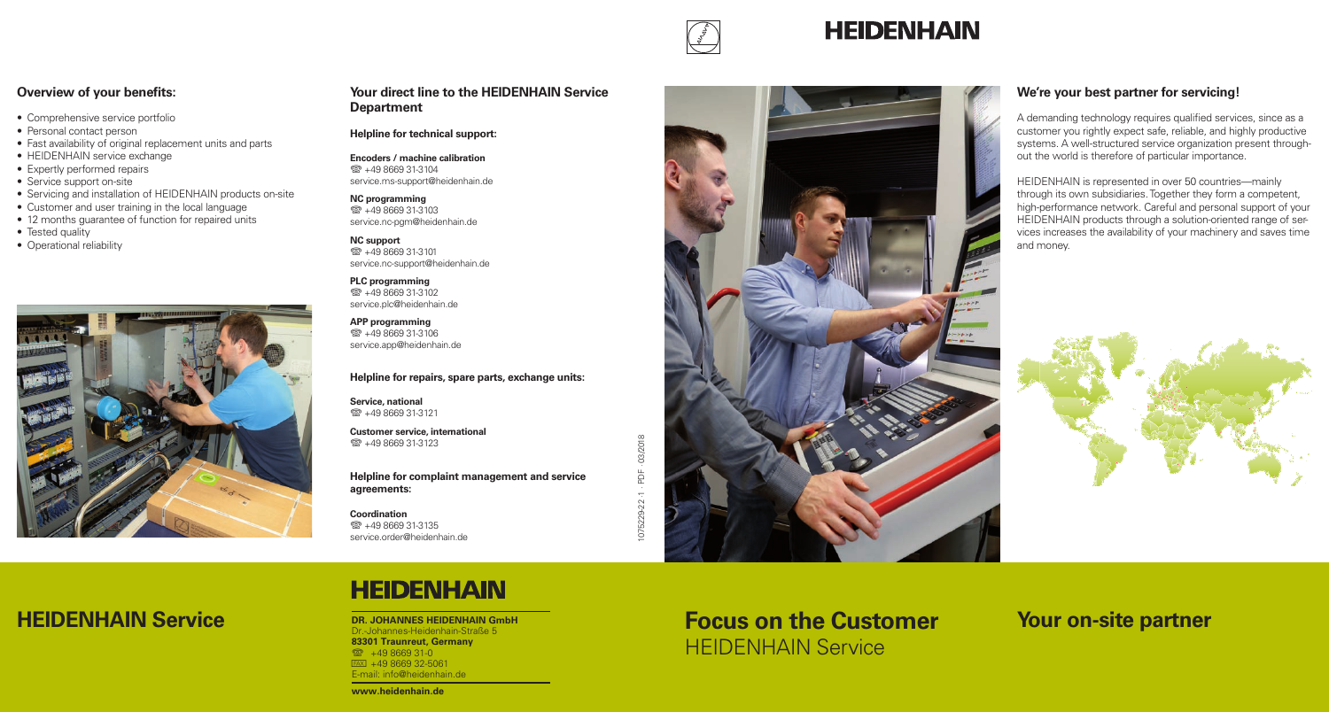

## **HEIDENHAIN**

### **Overview of your benefits:**

- Comprehensive service portfolio
- Personal contact person
- Fast availability of original replacement units and parts
- HEIDENHAIN service exchange
- Expertly performed repairs
- Service support on-site
- Servicing and installation of HEIDENHAIN products on-site
- Customer and user training in the local language
- 12 months guarantee of function for repaired units
- Tested quality
- Operational reliability



### **Your direct line to the HEIDENHAIN Service Department**

#### **Helpline for technical support:**

**Encoders / machine calibration**  $\circledR$  +49 8669 31-3104 service.ms-support@heidenhain.de

#### **NC programming**  $\circledR$  +49 8669 31-3103 service.nc-pgm@heidenhain.de

**NC support**  $\circledR + 49866931-3101$ service.nc-support@heidenhain.de

**PLC programming**  $\circledR$  +49 8669 31-3102 service.plc@heidenhain.de

**APP programming**  $\overline{$  $\otimes$  +49 8669 31-3106 service.app@heidenhain.de

#### **Helpline for repairs, spare parts, exchange units:**

**Service, national**  $\circledR$  +49 8669 31-3121

**Customer service, international**  $\circledR$  +49 8669 31-3123

**Helpline for complaint management and service agreements:**

**Coordination**  $\circledR$  +49 8669 31-3135 service.order@heidenhain.de



### **We're your best partner for servicing!**

A demanding technology requires qualified services, since as a customer you rightly expect safe, reliable, and highly productive systems. A well-structured service organization present throughout the world is therefore of particular importance.

HEIDENHAIN is represented in over 50 countries—mainly through its own subsidiaries. Together they form a competent, high-performance network. Careful and personal support of your HEIDENHAIN products through a solution-oriented range of services increases the availability of your machinery and saves time and money.



# **HEIDENHAIN**

**DR. JOHANNES HEIDENHAIN GmbH** Dr.-Johannes-Heidenhain-Straße 5 83301 Traunreut, Germany <sup>2</sup> +49 8669 31-0  $FAX$  +49 8669 32-5061 E-mail: info@heidenhain.de

# **HEIDENHAIN Service Focus ON A AND AND AND SEXUPLEM SHEIDENHAIN GmbH Focus on the Customer Your on-site partner** HEIDENHAIN Service

#### www.heidenhain.de